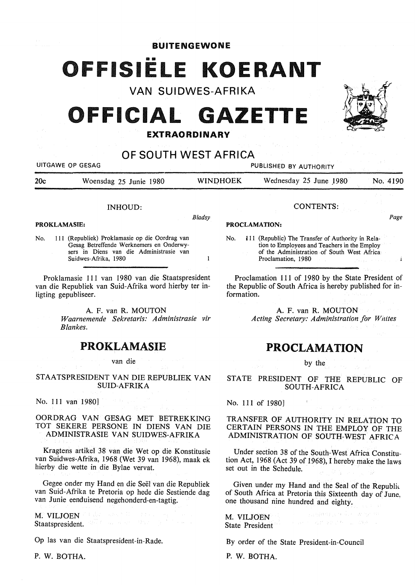**BUITENGEWONE** 

# FFISIËLE KOERANT

VAN SUIDWES-AFRIKA

## **OFFICIAL GAZETTE**

### **EXTRAORDINARY**

## OF SOUTH WEST AFRICA

UITGAWE OP GESAG **PUBLISHED BY AUTHORITY** 20c Woensdag 25 Junie 1980 WINOHOEK Wednesday 25 June J980 No. 4190 CONTENTS: INHOUD: *Bladsy Page*  **PROCLAMATION:**  No. 111 (Republic) The Transfer of Authority in Rela-Gesag Betreffende Werknemers en Onderwytion to Employees and Teachers in the Employ sers in Diens van die Administrasie van of the Administration -of South West Africa Suidwes-Afrika, 1980  $\mathbf{1}$ Proclamation, 1980 Proklamasie 111 van 1980 van die Staatspresident Proclamation 111 of 1980 by the State President of the Republic of South Africa is hereby published for information.

> A. F. van R. MOUTON *Acting Secretary: Administration for Wnites*

## **PROCLAMATION**

by the

STATE PRESIDENT OF THE REPUBLIC OF SOUTH-AFRICA

 $\sim 10^{10}$ 

No. 111 of 1980]

TRANSFER OF AUTHORITY IN RELATION TO CERTAIN PERSONS IN THE EMPLOY OF THE ADMINISTRATION OF SOUTH-WEST AFRICA

Under section 38 of the South-West Africa Constitution Act, 1968 (Act 39 of 1968), I hereby make the laws set out in the Schedule.

Given under my Hand and the Seal of the Republic of South Africa at Pretoria this Sixteenth day of June, one thousand nine hundred and eighty.

algan periode why m

M. VILJOEN State President

By order of the State President-in-Council

P. W. BOTHA.

**PROKLAMASIE:** 

No. 111 (Republiek) Proklamasie op die Oordrag van

van die Republiek van Suid-Afrika word hierby ter inligting gepubliseer.

> A. F. van **R. MOUTON**  *Waarnemende Sekretaris: Administrasie vir Blankes.*

## PROKLAMASIE

van die

**ST AA TS PRESIDENT VAN DIE REPUBLIEK VAN SUID-AFRIKA** 

No. 111 van 1980]

**OORDRAG VAN GESAG MET BETREKKING**  TOT SEKERE PERSONE IN DIENS VAN DIE **ADMINISTRASIE VAN SUIDWES-AFRIKA** 

Kragtens artikel 38 van die Wet op die Konstitusie van Suidwes-Afrika, 1968 (Wet 39 van 1968), maak ek hierby die wette in die Bylae vervat.

Gegee onder my Hand en die Seel van die Republiek van Suid-Afrika te Pretoria op hede die Sestiende dag van Junie eenduisend negehonderd-en-tagtig.

**M. VILJOEN**  Staatspresident. We have seen that the state of the state

Op las van die Staatspresident-in-Rade.

**P. W. BOTHA.** 

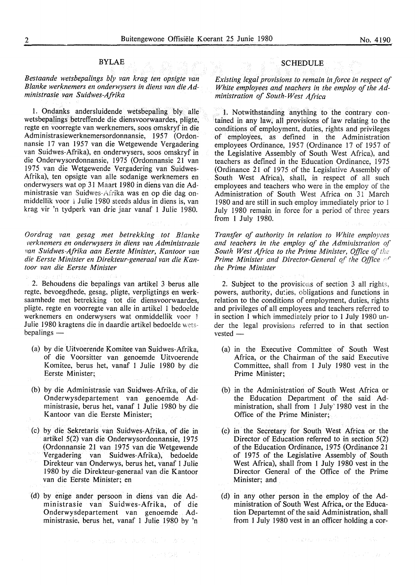#### BYLAE

#### *Bestaande wetsbepalings bly van krag ten opsigte van Blanke werknemers en onderwysers in diens van die Administrasie van Suidwes-Afrika*

I. Ondanks andersluidende wetsbepaling bly alle wetsbepalings betreffende die diensvoorwaardes, pligte, regte en voorregte van werknemers, soos omskryf in die Administrasiewerknemersordonnansie, 1957 (Ordonnansie 17 van 1957 van die Wetgewende Vergadering van Suidwes-Afrika), en onderwysers, soos omskryf in die Onderwysordonnansie, 1975 (Ordonnansie 21 van I 975 van die Wetgewende Vergadering van Suidwes-Afrika), ten opsigte van alle sodanige werknemers en onderwysers wat op 31 Maart 1980 in diens van die Administrasie van Suidwes-Afrika was en op die dag onmiddellik voor 1 Julie 1980 steeds aldus in diens is, van krag vir 'n tydperk van drie jaar vanaf 1 Julie 1980.

*Oordrag van gesag met betrekking tot Blanke*  verknemers en onderwysers in diens van Administrasie *mn Suidwes-Afrika aan Eerste Minister, Kantoor van die Eerste Minister en Direkteur-generaal van die Kantoor van die Eerste Minister* 

2. Behoudens die bepalings van artikel 3 berus alle regte, bevoegdhede, gesag, pligte, verpligtings en werksaamhede met betrekking tot die diensvoorwaardes, pligte, regte en voorregte van alle in artikel 1 bedoelde werknemers en onderwysers wat onmiddellik voor l Julie 1980 kragtens die in daardie artikel bedoelde wets $benalines$   $-$ 

- (a) by die Uitvoerende Komitee van Suidwes-Afrika, of die V oorsitter van genoemde Uitvoerende Komitee, berus het, vanaf 1 Julie 1980 by die Eerste Minister;
- (b) by die Administrasie van Suidwes-Afrika, of die Onderwysdepartement van genoemde Administrasie, berus het, vanaf 1 Julie 1980 by die Kantoor van die Eerste Minister;
- (c) by die Sekretaris van Suidwes-Afrika, of die in artikel 5(2) van die Onderwysordonnansie, 1975 (Ordonnansie 21 van 1975 van die Wetgewende Vergadering van Suidwes-Afrika), bedoelde Direkteur van Onderwys, berus het, vanaf 1 Julie 1980 by die Direkteur-generaal van die Kantoor van die Eerste Minister; en
- (d) by enige ander persoon in diens van die Admin istras ie van Suidwes-Afrika, of die Onderwysdepartement van genoemde Administrasie, berus het, vanaf 1 Julie 1980 by 'n

(1) 经工业的 (2011年1月) 地名美国尼亚克斯克

#### **SCHEDULE**

*Existing legal provisions to remain in force in respect of White employees and teachers in the employ of the Administration of South-West Africa* 

1. Notwithstanding anything to the contrary contained in any law, all provisions of law relating to the conditions of employment, duties, rights and privileges of employees, as defined in the Administration employees Ordinance, 1957 (Ordinance 17 of 1957 of the Legislative Assembly of South West Africa), and teachers as defined in the Education Ordinance, 1975 (Ordinance 21 of 1975 of the Legislative Assembly of South West Africa), shall, in respect of all such employees and teachers who were in the employ of the Administration of South West Africa on 31 March 1980 and are still in such employ immediately prior to 1 July 1980 remain in force for a period of three years from 1 July 1980.

*Transfer of authority in relation to White employees and teachers in the employ of the Administration of*  South West Africa to the Prime Minister, Office of the *Prime Minister and Director-General of the Office* of *the Prime Minister* 

2. Subject to the provisions of section  $3$  all rights, powers, authority, duties, obligations and functions in relation to the conditions of employment, duties, rights and privileges of all employees and teachers referred to in section I which immediately prior to 1 July 1980 under the legal provisions referred to in that section  $vested$   $-$ 

- (a) in the Executive Committee of South West Africa, or the Chairman of the said Executive Committee, shall from 1 July 1980 vest in the Prime Minister;
- (b) in the Administration of South West Africa or the Education Department of the said Administration, shall from 1 July' 1980 vest in the Office of the Prime Minister;
- (c) in the Secretary for South West Africa or the Director of Education referred to in section 5(2) of the Education Ordinance, 1975 (Ordinance 21 of 1975 of the Legislative Assembly of South West Africa), shall from 1 July 1980 vest in the Director General of the Office of the Prime Minister; and
- (d) in any other person in the employ of the Administration of South West Africa, or the Education Departemnt of the said Administration, shall from 1 July 1980 vest in an officer holding a cor-

 $\mathcal{R}^{\mathcal{A}}$  , we consider the consideration of the set of  $\mathcal{R}^{\mathcal{A}}$ 

(中央時位発)。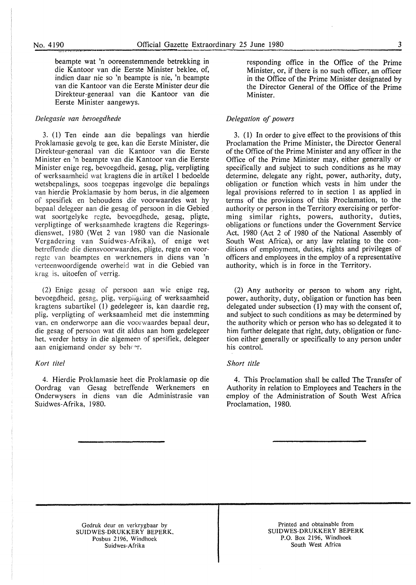beampte wat 'n ooreenstemmende betrekking in die Kantoor van die Eerste Minister beklee, of, indien daar nie so 'n beampte is nie, 'n beampte van die Kantoor van die Eerste Minister deur die Direkteur-generaal van die Kantoor van die Eerste Minister aangewys.

#### *Delegasie van bevoegdhede*

3. (I) Ten einde aan die bepalings van hierdie Proklamasie gevolg te gee, kan die Eerste Minister, die Direkteur-generaal van die Kantoor van die Eerste Minister en 'n beampte van die Kantoor van die Eerste Minister enige reg, bevoegdheid, gesag, plig, verpligting of werksaamheid wat kragtens die in artikel 1 bedoelde wetsbepalings, soos toegepas ingevolge die bepalings van hierdie Proklamasie by horn berus, in die algemeen of spesifiek en behoudens die voorwaardes wat hy bepaal delegeer aan die gesag of persoon in die Gebied wat soortgelyke regte, bevoegdhede, gesag, pligte, verpligtinge of werksaamhede kragtens die Regeringsdienswet, 1980 (Wet 2 van 1980 van die Nasionale Vergadering van Suidwes-Afrika), of enige wet betreffende die diensvoorwaardes, pligte, regte en voorregte van beamptes en werknemers in diens van 'n verteenwoordigende owerheid wat in die Gebied van krag is, uitoefen of verrig.

(2) Enige gesag of persoon aan wie enige reg, bevoegdheid, gesag, plig, verpligting of werksaamheid kragtens subartikel (I) gedelegeer is, kan daardie reg, plig, verpligting of werksaamheid met die instemming van, en onderworpe aan die voorwaardes bepaal deur, die gesag of persoon wat dit aldus aan horn gedelegeer het. verder hetsy in die algemeen of spesifiek, delegeer aan enigiemand onder sy beheer.

#### *Kort lite!*

4. Hierdie Proklamasie heet die Proklamasie op die Oordrag van Gesag betreffende Werknemers en Onderwysers in diens van die Administrasie van Suidwes-Afrika, 1980.

responding office in the Office of the Prime Minister, or, if there is no such officer, an officer in the Office of the Prime Minister designated by the Director General of the Office of the Prime Minister.

#### *Delegation of powers*

3. ( I) In order to give effect to the provisions of this Proclamation the Prime Minister, the Director General of the Office of the Prime Minister and any officer in the Office of the Prime Minister may, either generally or specifically and subject to such conditions as he may determine, delegate any right, power, authority, duty, obligation or function which vests in him under the legal provisions referred to in section 1 as applied in terms of the provisions of this Proclamation, to the authority or person in the Territory exercising or performing similar rights, powers, authority, duties, obligations or functions under the Government Service Act, 1980 (Act 2 of 1980 of the National Assembly of South West Africa), or any law relating to the conditions of employment, duties, rights and privileges of officers and employees in the employ of a representative authority, which is in force in the Territory.

(2) Any authority or person to whom any right, power, authority, duty, obligation or function has been delegated under subsection (1) may with the consent of, and subject to such conditions as may be determined by the authority which or person who has so delegated it to him further delegate that right, duty, obligation or function either generally or specifically to any person under his control.

#### *Short title*

4. This Proclamation shall be called The Transfer of Authority in relation to Employees and Teachers in the employ of the Administration of South West Africa Proclamation, 1980.

Gedruk deur en verkrygbaar by SUIDWES-DRUKKERY BEPERK, Posbus 2196, Windhoek Suidwes-Afrika

Printed and obtainable from SUIDWES-DRUKKERY BEPERK P.O. Box 2196, Windhoek South West Africa